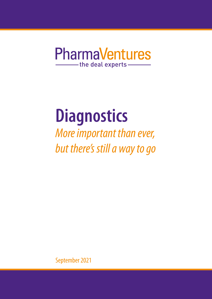## **PharmaVentures** -the deal experts-

# **Diagnostics**

*More important than ever, but there's still a way to go*

September 2021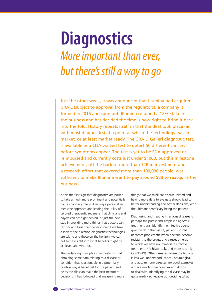## **Diagnostics** *More important than ever, but there's still a way to go*

Just the other week, it was announced that Illumina had acquired GRAIL (subject to approval from the regulators), a company it formed in 2016 and spun out. Illumina retained a 12% stake in the business and has decided the time is now right to bring it back into the fold. History repeats itself in that the deal took place (as with most diagnostics) at a point at which the technology was in market, or at least market ready. The GRAIL, Galleri diagnostic test, is available as a CLIA waived test to detect 50 different cancers before symptoms appear. The test is yet to be FDA approved or reimbursed and currently costs just under \$1000, but this milestone achievement, off the back of more than \$2B in investment and a research effort that covered more than 100,000 people, was sufficient to make Illumina want to pay around \$8B to reacquire the business.

Is this the first sign that diagnostics are poised to take a much more prominent and potentially game changing role in directing a personalised medicine approach and leading the utility of tailored therapeutic regimens that clinicians and payers can both get behind, or just the next step in providing more things that doctors can test for and base their decision on? If we take a look at the direction diagnostics technologies are taking and those on the horizon, we can get some insight into what benefits might be achieved and who for.

The underlying principle in diagnostics is that obtaining some data relating to a disease or condition that is actionable in a potentially positive way is beneficial for the patient and helps the clinician make the best treatment decisions. It has followed that measuring more things that we think are disease related and having more data to evaluate should lead to better understanding and better decisions, with the ultimate beneficiary being the patient.

Diagnosing and treating infectious diseases is perhaps the purest and simplest diagnostic/ treatment axis. Identify the infective agent, give the drug that kills it, patient is cured. It becomes problematic when bacteria become resistant to the drugs, and viruses emerge to which we have no immediate effective treatment (HIV historically, and more recently COVID-19). Other diseases where the biology is less well understood, cancer, neurological and autoimmune diseases are good examples and are much more complex and difficult to deal with. Identifying the disease may be quite readily achievable but deciding what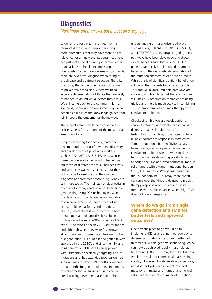## **Diagnostics** *More important than ever, but there's still a way to go*

to do for the best in terms of treatment is far more difficult, and simply measuring more biomarkers that may have more or less relevance for an individual patient's treatment can just make the clinician's job harder rather than easier. So, the all-encompassing term "diagnostics" covers a wide area and, in reality, there are two arms; diagnosis/monitoring of the disease and treatment selection. There is, of course, the whole other related discipline of preventative medicine, where we need accurate determination of things that are likely to happen to an individual before they occur. We still come back to the common link in all scenarios, of having to have something we can action as a result of the knowledge gained that will improve the outcome for the individual.

The subject area is too large to cover in this article, so let's focus on one of the most active areas, oncology.

Diagnostic testing for oncology started to become routine and useful with the discovery and development of protein biomarkers such as CEA, AFP, CA15-3, PSA etc., whose presence or elevation in blood or tissue was indicative of different cancers. Their sensitivity and specificity was not spectacular but they still provided a useful aid to the clinician in diagnosis and treatment monitoring. Many are still in use today. The mainstay of diagnostics in oncology for many years now has been single gene testing using PCR technologies, where the detection of specific genes and mutations of clinical relevance has been standardised across multiple platforms and providers. In NSCLC, where there is much activity in both therapeutics and diagnostics, it has been routine since the early 2000s to test for EGFR exon 19 deletions or exon 21 L858R mutations, and although when they were first known about there was no associated treatment, the first generation TKIs erlotinib and gefitinib were approved in the 2010's and since then 2<sup>nd</sup> and third generation TKIs have been approved, with Osimertinib specifically targeting T790m mutations and has extended progression free survival times to almost 19 months compared to 10 months for gen 1 molecules. Treatments for other molecular subsets of lung cancer are also being developed based upon the

understanding of major driver pathways, such as EGFR, PI3K/AKT/mTOR, RAS–MAPK, and NTRK/ROS1. Many drugs targeting these pathways have been developed and shown clinical benefits such that around 30% of patients can receive an improved treatment based upon the diagnostic determination of the mutation characteristics of their tumour. Whilst this is of significant patient benefit, we still know that patients become resistant to TKIs and will relapse; multiple pathways are involved, and how to target these and when is still unclear. Combination therapies are being trialled and there is much activity in combining TKIs, chemotherapies and radiotherapy with checkpoint inhibitors.

Checkpoint inhibitors are revolutionising cancer treatment, and yet the accompanying diagnostics are still quite crude. PD-L1 testing has not, to date, proven itself to be a reliable indicator of response in most cases. Tumour mutational burden (TMB) has also been investigated as a predictive marker for checkpoint inhibitor use but work to date has shown variability in its applicability, and although the FDA approved pembrolizumab, in solid tumors with a tumor mutational burden  $(TMB) \geq 10$  mutations/megabase based on the FoundationOne CDx assay, there are still concerns over the thresholds used to predict therapy response across a range of solid tumours with some instances where high TMB does not predict response.

## **Where do we go from single gene detection and TMB for better tests and improved outcomes?**

One obvious place to go would be to implement NGS as a routine methodology to determine mutational status and better tailor treatments. Whole genome sequencing (WGS) can now be achieved rapidly in a single lab for around \$1000. This may look like it is now within the realm of commercial mass testing viability. However, it is still relatively expensive, and does not yet reliably detect low level mutations in mixtures of tumour and normal cells. Furthermore, the number of mutations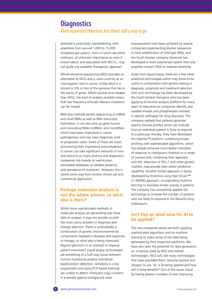## **Diagnostics** *More important than ever, but there's still a way to go*

detected is potentially overwhelming, with anywhere from around 1,000 to 15,000 mutations per patient, most of which are either irrelevant, of unknown importance or, even if known about and associated with NSCLC, may not guide any available therapeutic approach.

Whole exosome sequencing (WES) provides an alternative to WGS and is used currently as an interrogation tool in cancer. Unlike WGS it is limited to 5% or less of the genome that lies in the exons of genes. Whilst quicker and cheaper than WGS, the level of analysis possible means that low frequency clinically relevant mutations can be missed.

RNA-Seq methods permit sequencing of mRNA and small RNAs as well as RNA transcripts themselves. It can also pick up gene fusions and noncoding RNAs (ncRNAs) and microRNAs which have been implicated in cancer pathogenesis and may have diagnostic and/ or prognostic value. Some of these are novel, and proving their importance and prevalence in cancer can take significant amounts of time and resource as major pharma and diagnostics companies rely heavily on well-known annotated databases to validate presence and prevalence of mutations. However, this is clearly some way from routine clinical use and commercial application.

## **Perhaps molecular analysis is not the whole answer, so what else is there?**

Whilst more sophisticated methods of molecular analysis are generating ever more data to analyse, it may not provide us with the most useful answers in diagnosis and therapy selection. There is undoubtedly a combination of genetic and environmental components involved in diseases and responses to therapy, so what else is being measured beyond genomics in an attempt to improve patient outcomes? Liquid biopsy technologies are something of a half-way house between tumour mutational analysis and bloodbased protein detection. Sensitivity is a key requirement and many PCR based methods are unable to detect infrequent copy numbers in a sample against background noise.

Improvements have been achieved by several companies implementing blocker sequences to limit amplification of wild type DNA, and the South Korean company Genecast has developed a novel polymerase system that only amplifies mutant DNA to improve sensitivity.

Aside from liquid biopsy, there are a few other analytical technologies which may prove to be useful in combination with genetic testing in diagnosis, prognosis and treatment selection. One such technology has been developed by the Dutch biotech Pamgene who has been applying its kinome analysis platform for many years to help pharma companies identify and validate kinases and phosphatases involved in specific pathways for drug discovery. The company realised that patients generate specific kinome profiles which can indicate how an individual patient is likely to respond to a particular therapy. They have developed the IOpener™ platform, combining kinase profiling with sophisticated algorithms, which has already achieved much better indication of response to checkpoint inhibitors in a range of cancers and, combining their approach with IHC detection of PD-L1 and other genetic markers, may provide even better predictive capability. Another similar approach is being developed by Kinomica using their KScan™ LC-MS/MS approach, incorporating machine learning to elucidate kinase activity in patients. The company has successfully applied the technology to increase the number of patients who are likely to respond to the Novartis drug midostaurin.

## **Isn't this an ideal area for AI to be applied?**

The two companies above are both applying sophisticated algorithms and /or machine learning to make sense of the data being generated by their respective platforms. We have also seen the potential for data generation on a massive scale by NGS and related technologies. NGS will, like many technologies that have preceded them, become quicker and cheaper to use. So, is AI being applied and how will it bring benefits? One of the issues faced by having greater numbers of ever improving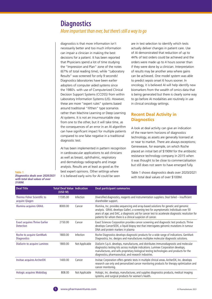## **Diagnostics** *More important than ever, but there's still a way to go*

diagnostics is that more information isn't necessarily better and too much information can impair a clinician in making the best decisions for a patient. It has been reported that Physicians spend a lot of time studying the "Impression and Plan" zone of the notes (67% of total reading time), while "Laboratory Results" was screened for only 9 seconds! Diagnostics laboratories have been earlier adopters of computer aided systems since the 1980's. with use of Computerized Clinical Decision Support Systems (CCDSS) from within Laboratory Information Systems (LIS). However, these are more "expert rules" systems based around traditional "if/then" type scenarios rather than Machine Learning or Deep Learning AI systems. It is not an insurmountable step from one to the other, but it will take time, as the consequences of an error in an AI algorithm can have significant impact for multiple patients compared to one false negative in a traditional diagnostic test.

AI has been implemented in pattern recognition in cardiovascular applications to aid clinicians as well as breast, ophthalmic, respiratory and dermatology radiographs and image analysis. Results are at least as good as the best expert opinions. Other settings where it is believed early wins for AI could be seen

are in test selection to identify which tests actually deliver changes in patient care. Use of AI demonstrated that reduction of up to 44% of test orders could be achieved and the orders were made up to 4 hours sooner than if they were done by a clinician. Interpretation of results may be another area where gains can be achieved. One model system was able to predict sepsis onset 6 hours sooner. In oncology, it is believed AI will help identify new biomarkers from the wealth of omics data that is being generated but there is clearly some way to go before AI modalities are routinely in use in clinical oncology settings.

## **Recent Deal Activity in Diagnostics**

A look at deal activity can give an indication of the near-term horizons of diagnostics technology, as assets are generally licensed at or near to market. There are always exceptions; Geneweave, for example, on which Roche placed an initial bet of \$190M for the antibiotic resistance technology company in 2015 when it was thought to be close to commercialisation but still does not seem to have emerged fully.

Table 1 shows diagnostics deals over 2020/2021 with total deal values of over \$100M.

| <b>Deal Title</b>                                        | <b>Total Deal Value Indication</b><br>(USD M) |                | <b>Deal participant summaries</b>                                                                                                                                                                                                                                                                                                                |
|----------------------------------------------------------|-----------------------------------------------|----------------|--------------------------------------------------------------------------------------------------------------------------------------------------------------------------------------------------------------------------------------------------------------------------------------------------------------------------------------------------|
| Thermo Fisher Scientific to<br>acquire Qiagen            | 11595.00                                      | Infection      | Diversified diagnostics, reagents and instrumentation suppliers. Deal failed - insufficient<br>shareholder support.                                                                                                                                                                                                                              |
| Illumina acquires GRAIL                                  | 8000.00                                       | Cancer         | Illumina, Inc. provides sequencing and array-based solutions for genetic and genomic<br>analysis. GRAIL develops Galleri, a screening test for asymptomatic individuals over 50<br>years of age; and DAC, a diagnostic aid for cancer test to accelerate diagnostic resolution for<br>patients for whom there is a clinical suspicion of cancer. |
| <b>Exact acquires Thrive Earlier</b><br><b>Detection</b> | 2150.00                                       | Cancer         | Exact Sciences Corporation provides cancer screening and diagnostic test products. Thrive<br>develops CancerSEEK, a liquid biopsy test that interrogates genomic mutations in tumour<br>DNA and protein markers in plasma                                                                                                                        |
| Roche to acquire GenMark<br><b>Diagnostics</b>           | 1800.00                                       | Infection      | Roche Diagnostics develops diagnostic products for a wide range of indications. GenMark<br>Diagnostics, Inc. designs and manufactures multiplex molecular diagnostic solutions.                                                                                                                                                                  |
| DiaSorin to acquire Luminex                              | 1800.00                                       | Not Applicable | DiaSorin S.p.A. develops, manufactures, and distributes immunodiagnostic and molecular<br>diagnostics testing kits across multiple indications. Luminex Corporation develops,<br>manufactures, and sells proprietary biological testing technologies and products for the<br>diagnostics, pharmaceutical, and research industries.               |
| <b>Invitae acquires ArcherDX</b>                         | 1400.00                                       | Cancer         | Invitae Corporation offers genetic tests in multiple clinical areas. ArcherDX, Inc. develops<br>research use only and personalized cancer monitoring products for therapy optimization and<br>cancer monitoring.                                                                                                                                 |
| Hologic acquires Mobidiag                                | 808.00                                        | Not Applicable | Hologic, Inc. develops, manufactures, and supplies diagnostics products, medical imaging<br>systems, and surgical products for women's health.                                                                                                                                                                                                   |

**Table 1 Diagnostics deals over 2020/2021 with total deal values of over \$100M.**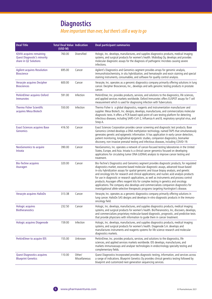## **Diagnostics**

## *More important than ever, but there's still a way to go*

| <b>Deal Title</b>                                                                              | <b>Total Deal Value Indication</b><br>(USD M) |                         | <b>Deal participant summaries</b>                                                                                                                                                                                                                                                                                                                                                                                                                                                                                                                                                                                                                                                                                                                   |
|------------------------------------------------------------------------------------------------|-----------------------------------------------|-------------------------|-----------------------------------------------------------------------------------------------------------------------------------------------------------------------------------------------------------------------------------------------------------------------------------------------------------------------------------------------------------------------------------------------------------------------------------------------------------------------------------------------------------------------------------------------------------------------------------------------------------------------------------------------------------------------------------------------------------------------------------------------------|
| <b>IQVIA</b> acquires remaining<br><b>Quest Diagnostic's minority</b><br>share in Q2 Solutions | 760.00                                        | Diversified             | Hologic, Inc. develops, manufactures, and supplies diagnostics products, medical imaging<br>systems, and surgical products for women's health. Mobidiag Oy, develops and provides<br>molecular diagnostic assays for the diagnosis of pathogenic microbes causing severe<br>infections.                                                                                                                                                                                                                                                                                                                                                                                                                                                             |
| <b>Agilent acquires Resolution</b><br><b>Bioscience</b>                                        | 695.00                                        | Cancer                  | Agilent's Diagnostics and Genomics segment provides arrays for genomic analysis,<br>immunohistochemistry, in situ hybridization, and hematoxylin and eosin staining and special<br>staining instruments, consumables, and software for quality control analysis.                                                                                                                                                                                                                                                                                                                                                                                                                                                                                    |
| Veracyte acquires Decipher<br><b>Biosciences</b>                                               | 600.00                                        | Cancer                  | Veracyte, Inc. operates as a genomic diagnostics company primarily offering solutions in lung<br>cancer. Decipher Biosciences, Inc., develops and sells genomic testing products in prostate<br>cancer.                                                                                                                                                                                                                                                                                                                                                                                                                                                                                                                                             |
| PerkinElmer acquires Oxford<br><b>Immunotec</b>                                                | 591.00                                        | Infection               | PerkinElmer, Inc. provides products, services, and solutions to the diagnostics, life sciences,<br>and applied services markets worldwide. Oxford Immunotec offers ELISPOT assays for T cell<br>measurement which is used for diagnosing infection with Tuberculosis.                                                                                                                                                                                                                                                                                                                                                                                                                                                                               |
| <b>Thermo Fisher Scientific</b><br>acquires Mesa Biotech                                       | 550.00                                        | Infection               | Thermo Fisher is a global diagnostics, reagents and instrumentation manufacturer and<br>supplier. Mesa Biotech, Inc. designs, develops, manufactures, and commercializes molecular<br>diagnostic tests. It offers a PCR-based rapid point-of-care testing platform for detecting<br>infectious diseases, including SARS-CoV-2, Influenza A and B, respiratory syncytial virus, and<br>Strep A.                                                                                                                                                                                                                                                                                                                                                      |
| <b>Exact Sciences acquires Base</b><br><b>Genomics</b>                                         | 416.50                                        | Cancer                  | Exact Sciences Corporation provides cancer screening and diagnostic test products. Base<br>Genomics Limited develops a DNA methylation technology. named TAPS that simultaneously<br>generates genetic and epigenetic information. It has application in early cancer detection,<br>patient monitoring, longitudinal epigenetic studies, companion diagnostics, biomarker<br>discovery, non-invasive prenatal testing and infectious diseases, including COVID-19.                                                                                                                                                                                                                                                                                  |
| <b>NeoGenomics to acquire</b><br><b>Inivata</b>                                                | 390.00                                        | Cancer                  | NeoGenomics, Inc. operates a network of cancer-focused testing laboratories in the United<br>States, Europe, and Asia. Inivata Is a clinical cancer genomics focused on developing<br>applications for circulating tumor DNA (ctDNA) analysis to improve cancer testing and<br>treatment.                                                                                                                                                                                                                                                                                                                                                                                                                                                           |
| <b>Bio-Techne acquires</b><br>Asuragen                                                         | 320.00                                        | Cancer                  | Bio-Techne's Diagnostics and Genomics segment provides diagnostic products, for regulated<br>diagnostics market, exosome-based molecular diagnostic assays, advanced tissue-based<br>in-situ hybridization assays for spatial genomic and tissue biopsy analysis, and genetic<br>and oncology kits for research and clinical applications; and nucleic acid analysis products<br>for use in diagnostic or research applications, as well as instruments and process control<br>products. Asuragen offers reagent kits for complex testing in genetics and oncology<br>applications. The company also develops and commercializes companion diagnostics for<br>investigational allele-selective therapeutic programs targeting Huntington's disease. |
| Veracyte acquires HalioDx                                                                      | 313.38                                        | Cancer                  | Veracyte, Inc. operates as a genomic diagnostics company primarily offering solutions in<br>lung cancer. HalioDx SAS designs and develops in-vitro diagnostic products in the immuno-<br>oncology field.                                                                                                                                                                                                                                                                                                                                                                                                                                                                                                                                            |
| <b>Hologic acquires</b><br><b>Biotheranostics</b>                                              | 232.50                                        | Cancer                  | Hologic, Inc. develops, manufactures, and supplies diagnostics products, medical imaging<br>systems, and surgical products for women's health. BioTheranostics, Inc, discovers, develops,<br>and commercializes proprietary molecular-based diagnostic, prognostic, and predictive tests<br>that provide physicians with information to guide them in cancer treatment.                                                                                                                                                                                                                                                                                                                                                                             |
| <b>Hologic acquires Diagenode</b>                                                              | 159.00                                        | Infection               | Hologic, Inc. develops, manufactures, and supplies diagnostics products, medical imaging<br>systems, and surgical products for women's health. Diagenode S.A. develops and<br>manufactures instruments and reagents systems for life science research and molecular<br>diagnostics markets.                                                                                                                                                                                                                                                                                                                                                                                                                                                         |
| PerkinElmer to acquire IDS                                                                     | 155.00                                        | Unknown                 | PerkinElmer, Inc. provides products, services, and solutions to the diagnostics, life<br>sciences, and applied services markets worldwide. IDS develops, manufactures, and<br>markets immunoassays and analyser technologies in endocrinology specialty testing and<br>complementary fields.                                                                                                                                                                                                                                                                                                                                                                                                                                                        |
| <b>Quest Diagnostics acquires</b><br><b>Blueprint Genetics</b>                                 | 110.00                                        | Other/<br>Miscellaneous | Quest Diagnostics Incorporated provides diagnostic testing, information, and services across<br>a range of indications. Blueprint Genetics Oy provides clinical genetics testing followed by<br>blueprint and customized next-generation sequencing services.                                                                                                                                                                                                                                                                                                                                                                                                                                                                                       |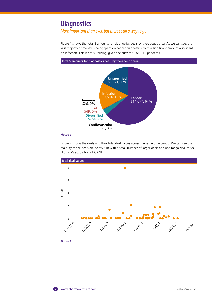## **Diagnostics**

## *More important than ever, but there's still a way to go*

Figure 1 shows the total \$ amounts for diagnostics deals by therapeutic area. As we can see, the vast majority of money is being spent on cancer diagnostics, with a significant amount also spent on infection. This is not surprising, given the current COVID-19 pandemic.



#### *Figure 1*

Figure 2 shows the deals and their total deal values across the same time period. We can see the majority of the deals are below \$1B with a small number of larger deals and one mega-deal of \$8B (Illumina's acquisition of GRAIL).

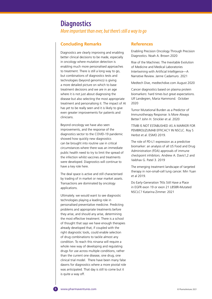## **Diagnostics**

*More important than ever, but there's still a way to go*

#### **Concluding Remarks**

Diagnostics are clearly improving and enabling better clinical decisions to be made, especially in oncology where mutation detection is enabling much more personalised approaches to treatment. There is still a long way to go, but combinations of diagnostics tests and technologies (beyond genomics) is giving a more detailed picture on which to base treatment decisions and we are in an age where it is not just about diagnosing the disease but also selecting the most appropriate treatment and personalising it. The impact of AI has yet to be really seen and it is likely to give even greater improvements for patients and clinicians.

Beyond oncology we have also seen improvements, and the response of the diagnostics sector to the COVID-19 pandemic showed how quickly new diagnostics can be brought into routine use in critical circumstances where there was an immediate public health need to try to limit the spread of the infection whilst vaccines and treatments were developed. Diagnostics will continue to have a key role here.

The deal space is active and still characterised by trading of in market or near market assets. Transactions are dominated by oncology applications.

Ultimately. we would want to see diagnostic technologies playing a leading role in personalised preventative medicine. Predicting problems and appropriate treatments before they arise, and should any arise, determining the most effective treatment. There is a school of thought that says we have enough therapies already developed that, if coupled with the right diagnostic tools, could enable selection of drug combinations to tackle almost any condition. To reach this nirvana will require a whole new way of developing and regulating drugs for use across multiple conditions, rather than the current one disease, one drug, one clinical trial model. There have been many false dawns for diagnostics where a more pivotal role was anticipated. That day is still to come but it is quite a way off.

#### **References**

Enabling Precision Oncology Through Precision Diagnostics. Noah A. Brown 2020

Rise of the Machines: The Inevitable Evolution of Medicine and Medical Laboratories Intertwining with Artificial Intelligence—A Narrative Review. Janne Cadamuro. 2021

Medtech Dive, medtechdive.com August 2020

Cancer diagnostics based on plasma protein biomarkers: hard times but great expectations. Ulf Landegren, Maria Hammond. October 2020

Tumor Mutational Burden as a Predictor of Immunotherapy Response: Is More Always Better? John H. Strickler et al. 2020

TTMB IS NOT ESTABLISHED AS A MARKER FOR PEMBROLIZUMAB EFFICACY IN NSCLC. Roy S Herbst et al. ESMO 2019.

The role of PD-L1 expression as a predictive biomarker: an analysis of all US Food and Drug Administration (FDA) approvals of immune checkpoint inhibitors. Andrew A. Davis1,2 and Vaibhav G. Patel 3. 2019

The emerging treatment landscape of targeted therapy in non-small-cell lung cancer. Min Yuan et al 2019.

Do Early-Generation TKIs Still Have a Place in EGFR exon 19 or exon 21 L858R-Mutated NSCLC? Katarina Zimmer. 2021